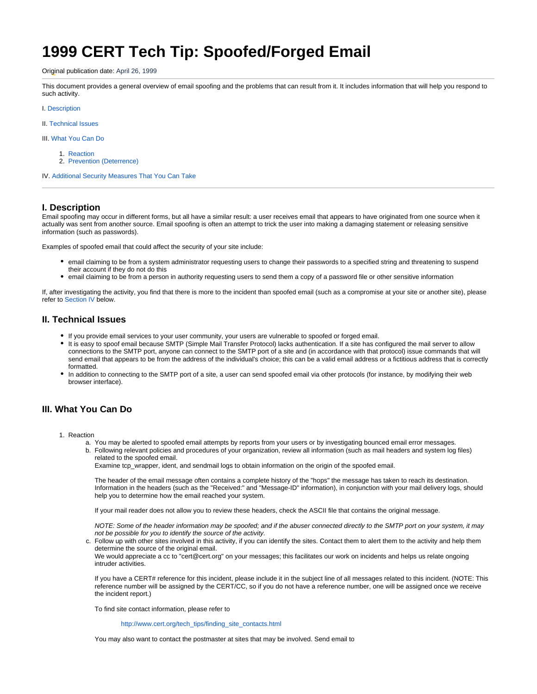# **1999 CERT Tech Tip: Spoofed/Forged Email**

#### Original publication date: April 26, 1999

This document provides a general overview of email spoofing and the problems that can result from it. It includes information that will help you respond to such activity.

#### I. [Description](#page-0-0)

II. [Technical Issues](#page-0-1)

III. [What You Can Do](#page-0-2)

- 1. [Reaction](#page-0-3)
- 2. [Prevention \(Deterrence\)](#page-1-0)

IV. [Additional Security Measures That You Can Take](#page-1-1)

## <span id="page-0-0"></span>**I. Description**

Email spoofing may occur in different forms, but all have a similar result: a user receives email that appears to have originated from one source when it actually was sent from another source. Email spoofing is often an attempt to trick the user into making a damaging statement or releasing sensitive information (such as passwords).

Examples of spoofed email that could affect the security of your site include:

- email claiming to be from a system administrator requesting users to change their passwords to a specified string and threatening to suspend their account if they do not do this
- email claiming to be from a person in authority requesting users to send them a copy of a password file or other sensitive information

<span id="page-0-1"></span>If, after investigating the activity, you find that there is more to the incident than spoofed email (such as a compromise at your site or another site), please refer to [Section IV](#page-1-1) below.

### **II. Technical Issues**

- If you provide email services to your user community, your users are vulnerable to spoofed or forged email.
- It is easy to spoof email because SMTP (Simple Mail Transfer Protocol) lacks authentication. If a site has configured the mail server to allow connections to the SMTP port, anyone can connect to the SMTP port of a site and (in accordance with that protocol) issue commands that will send email that appears to be from the address of the individual's choice; this can be a valid email address or a fictitious address that is correctly formatted.
- In addition to connecting to the SMTP port of a site, a user can send spoofed email via other protocols (for instance, by modifying their web browser interface).

## <span id="page-0-3"></span><span id="page-0-2"></span>**III. What You Can Do**

- 1. Reaction
	- a. You may be alerted to spoofed email attempts by reports from your users or by investigating bounced email error messages.
	- b. Following relevant policies and procedures of your organization, review all information (such as mail headers and system log files) related to the spoofed email.

Examine tcp\_wrapper, ident, and sendmail logs to obtain information on the origin of the spoofed email.

The header of the email message often contains a complete history of the "hops" the message has taken to reach its destination. Information in the headers (such as the "Received:" and "Message-ID" information), in conjunction with your mail delivery logs, should help you to determine how the email reached your system.

If your mail reader does not allow you to review these headers, check the ASCII file that contains the original message.

NOTE: Some of the header information may be spoofed; and if the abuser connected directly to the SMTP port on your system, it may not be possible for you to identify the source of the activity.

c. Follow up with other sites involved in this activity, if you can identify the sites. Contact them to alert them to the activity and help them determine the source of the original email.

We would appreciate a cc to "cert@cert.org" on your messages; this facilitates our work on incidents and helps us relate ongoing intruder activities.

If you have a CERT# reference for this incident, please include it in the subject line of all messages related to this incident. (NOTE: This reference number will be assigned by the CERT/CC, so if you do not have a reference number, one will be assigned once we receive the incident report.)

To find site contact information, please refer to

[http://www.cert.org/tech\\_tips/finding\\_site\\_contacts.html](http://www.cert.org/tech_tips/finding_site_contacts.html)

You may also want to contact the postmaster at sites that may be involved. Send email to